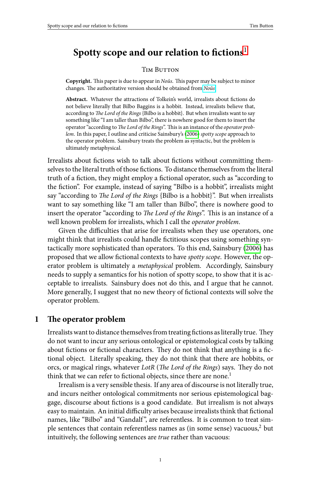# Spotty scope and our relation to fictions<sup>1</sup>

#### TIM BUTTON

Copyright. This paper is due to appear in *Noûs*. This paper may be subject to minor changes. The authoritative version should be obtained from *Noûs*.

Abstract. Whatever the attractions of Tolkein's world, irrealists about fictions do not believe literally that Bilbo Baggins is a hobbit. Instead, irrealists believe that, according to *The Lord of the Rings* {Bilbo is a hobbit}. But when irrealists want to say something like "I am taller than Bilbo", there is nowhere good for them to insert the operator "according to *The Lord of the Rings*". This is an instance of the *operator problem*. In this paper, I outline and criticise Sainsbury's (2006) *spotty scope* approach to the operator problem. Sainsbury treats the problem as syntactic, but the problem is ultimately metaphysical.

Irrealists about fictions wish to talk about fictions without committ[ing th](#page-13-0)emselves to the literal truth of those fictions. To distance themselves from the literal truth of a fiction, they might employ a fictional operator, such as "according to the fiction". For example, instead of saying "Bilbo is a hobbit", irrealists might say "according to *The Lord of the Rings* {Bilbo is a hobbit}". But when irrealists want to say something like "I am taller than Bilbo", there is nowhere good to insert the operator "according to *The Lord of the Rings*". This is an instance of a well known problem for irrealists, which I call the *operator problem*.

Given the difficulties that arise for irrealists when they use operators, one might think that irrealists could handle fictitious scopes using something syntactically more sophisticated than operators. To this end, Sainsbury (2006) has proposed that we allow fictional contexts to have *spotty scope*. However, the operator problem is ultimately a *metaphysical* problem. Accordingly, Sainsbury needs to supply a semantics for his notion of spotty scope, to show that it is acceptable to irrealists. Sainsbury does not do this, and I argue that he cannot. More generally, I suggest that no new theory of fictional contexts will solve the operator problem.

#### **1** The operator problem

Irrealists want to distance themselves from treating fictions as literally true. They do not want to incur any serious ontological or epistemological costs by talking about fictions or fictional characters. They do not think that anything is a fictional object. Literally speaking, they do not think that there are hobbits, or orcs, or magical rings, whatever *LotR* (*The Lord of the Rings*) says. They do not think that we can refer to fictional objects, since there are none.<sup>1</sup>

Irrealism is a very sensible thesis. If any area of discourse is not literally true, and incurs neither ontological commitments nor serious epistemological baggage, discourse about fictions is a good candidate. But irrealism is not always easy to maintain. An initial difficulty arises because irrealists think that fictional names, like "Bilbo" and "Gandalf", are referentless. It is common to treat simple sentences that contain referentless names as (in some sense) vacuous, $\frac{2}{3}$  but intuitively, the following sentences are *true* rather than vacuous:

1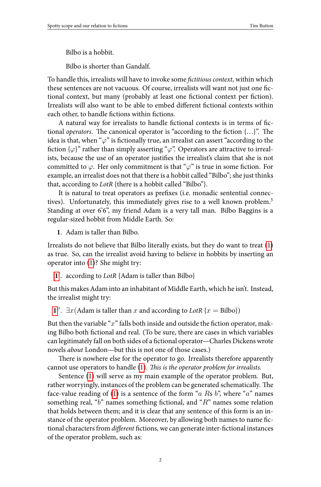Bilbo is a hobbit.

Bilbo is shorter than Gandalf.

To handle this, irrealists will have to invoke some *ĕctitious context*, within which these sentences are not vacuous. Of course, irrealists will want not just one fictional context, but many (probably at least one fictional context per fiction). Irrealists will also want to be able to embed different fictional contexts within each other, to handle fictions within fictions.

<span id="page-1-0"></span>A natural way for irrealists to handle fictional contexts is in terms of fictional *operators*. The canonical operator is "according to the fiction {...}". The idea is that, when " $\varphi$ " is fictionally true, an irrealist can assert "according to the fiction  $\{\varphi\}$ " rather than simply asserting " $\varphi$ ". Operators are attractive to irre[al](#page-1-0)ists, because the use of an operator justifies the irrealist's claim that she is not committed to  $\varphi$ . Her only commitment is that " $\varphi$ " is true in some fiction. For example, an irrealist does not that there is a hobbit called "Bilbo"; she just thinks th[at,](#page-1-0) according to *LotR* {there is a hobbit called "Bilbo"}.

It is natural to treat operators as prefixes (i.e. monadic sentential connectives). Unfortunately, this immediately gives rise to a well known problem.<sup>3</sup> Standing at over 6'6", my friend Adam is a very tall man. Bilbo Baggins is a r[egu](#page-1-0)lar-sized hobbit from Middle Earth. So:

**1**. Adam is taller than Bilbo.

Irrealists do not believe that Bilbo literally exists, but they do want to treat (1) as true. So, can the irrealist avoid having to believe in hobbits by inserting an operator into (1)? She might try:

**1** *′* . according to *LotR* {Adam [is](#page-1-0) taller than Bilbo}

But this make[s A](#page-1-0)dam into an inhabitant of Middle Earth, which he isn't. Instead, the irrealist might try:

**1**<sup>*′′*</sup>.  $∃x(Adam is taller than *x* and according to LotR {*x* = Bilbo})$ 

But then the variable "x" falls both inside and outside the fiction operator, making Bilbo both fictional and real. (To be sure, there are cases in which variables can legitimately fall on both sides of a fictional operator—Charles Dickens wrote novels *about* London—but this is not one of those cases.)

There is nowhere else for the operator to go. Irrealists therefore apparently cannot use operators to handle (1). *This is the operator problem for irrealists*.

Sentence (1) will serve as my main example of the operator problem. But, rather worryingly, instances of the problem can be generated schematically. The face-value reading of (1) is a sentence of the form "*a R*s *b*", where "*a*" names something real, "b" names something fictional, and "R" names some relation that holds between them; and it is clear that any sentence of this form is an instance of the operator problem. Moreover, by allowing both names to name fictional characters from *different* fictions, we can generate inter-fictional instances of the operator problem, such as: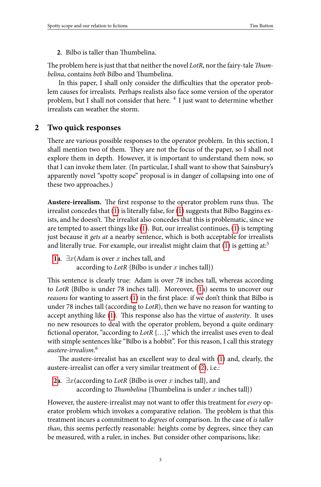# <span id="page-2-1"></span><span id="page-2-0"></span>2. Bilbo is taller than Thumbelina.

The problem here is just that that neither the novel *LotR*, nor the fairy-tale *Thumbelina*, contains *both* Bilbo and Thumbelina.

In this paper, I shall only consider the difficulties that the operator problem causes for irrealists. Perhaps realists also face some version of the operator problem, but I shall not consider that here.<sup>4</sup> I just want to determine whether irrealists can weather the storm.

## **2 Two quick responses**

There are various possible respo[ns](#page-1-0)es to [th](#page-1-0)e operator problem. In this section, I shall mention two of them. They are not the focus of the pa[pe](#page-1-0)r, so I shall not explore them in depth. However, it is important to understand them now, so t[hat](#page-1-0) I can invoke them later. (In particular, I shall want to show that Sainsbury's apparently novel "spotty scope" proposal is in danger of collapsing into one of these two approaches.)

**Austere-irrealism.** The first [res](#page-1-0)ponse to the operat[or](#page-1-0) problem runs thus. The irrealist concedes that (1) is literally false, for (1) suggests that Bilbo Baggins exists, and h[e](#page-1-0) doesn't. The irrealist also concedes that this is problematic, since we are tempted to assert things like (1). But, our irrealist continues, (1) is tempting just because it *gets at* a nearby sentence, which is both acceptable for irrealists and literally true. For example, our irrealist might claim that  $(1)$  is getting at:<sup>5</sup>

```
1a. ∃x(Adam is over x inches tall, and
according to LotR {Bilbo is under x inches tall})
```
This sentence is clearly true: Adam is over 78 inch[es](#page-2-0) tall, whereas according to *[L](#page-2-0)otR* {Bilbo is under 78 inches tall}. Moreover, (1a) seems to uncover our *reasons* for wanting to assert (1) in the first place: if we don't think that Bilbo is under 78 inches tall (according to *LotR*), then we have no reason for wanting to accept anything like (1). This response also has the virtue of *austerity*. It uses no new resources to deal with the operator problem, beyond a quite ordinary fictional operator, "according to *LotR* {...}," which the irrealist uses even to deal with simple sentences like "Bilbo is a hobbit". For this reason, I call this strategy *austere-irrealism*. 6

The austere-irrealist has an excellent way to deal with (1) and, clearly, the austere-irrealist can offer a very similar treatment of (2), i.e.:

**2a**. *∃x*(according to *LotR* {Bilbo is over *x* inches tall}, and according to *Thumbelina* {Thumbelina is under  $x$  inches tall})

However, the austere-irrealist may not want to offer this treatment for *every* operator problem which invokes a comparative relation. The problem is that this treatment incurs a commitment to *degrees* of comparison. In the case of *is taller than*, this seems perfectly reasonable: heights come by degrees, since they can be measured, with a ruler, in inches. But consider other comparisons, like: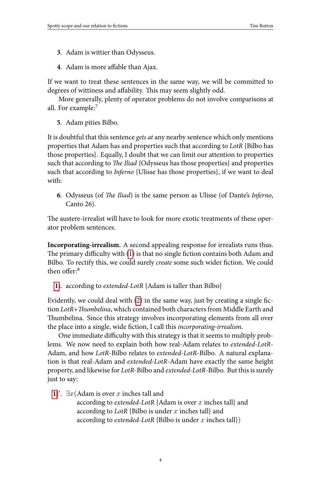- **3**. Adam is wittier than Odysseus.
- **4**. Adam is more affable than Ajax.

If we want to treat these sentences in the same way, we will be committed to degrees of wittiness and affability. This may seem slightly odd.

<span id="page-3-0"></span>More generally, plenty of operator problems do not involve comparisons at all. For example:<sup>7</sup>

**5**. Adam pities Bilbo.

It is doubtful that this sentence *gets at* any nearby sentence which only mentions properties that Adam has and properties such that according to *LotR* {Bilbo has those properties}. Equally, I doubt that we can limit our attention to properties such that according to *The Il[iad](#page-1-0)* {Odysseus has those properties} and properties such that according to *Inferno* {Ulisse has those properties}, if we want to deal with:

**[6](#page-1-0)**. Odysseus (of *The Iliad*) is the same person as Ulisse (of Dante's *Inferno*, Canto 26).

The austere-irrealist will have to look for more exotic treatments of these operator problem sentences.

**Incorporating-irrealism.** A second appealing response for irrealists runs thus. The primary difficulty with (1) is that no single fiction contains both Adam and Bilbo. To rectify this, we could surely *create* some such wider fiction. We could then offer:<sup>8</sup>

**1i**. according to *extended-LotR* {Adam is taller than Bilbo}

E[vid](#page-1-0)ently, we could deal with  $(2)$  in the same way, just by creating a single fiction *LotR+Thumbelina*, which contained both characters from Middle Earth and Thumbelina. Since this strategy involves incorporating elements from all over the place into a single, wide fiction, I call this *incorporating-irrealism*.

One immediate difficulty with this strategy is that it seems to multiply problems. We now need to explain both how real-Adam relates to *extended-LotR*-Adam, and how *LotR*-Bilbo relates to *extended-LotR*-Bilbo. A natural explanation is that real-Adam and *extended-LotR*-Adam have exactly the same height property, and likewise for *LotR*-Bilbo and *extended-LotR*-Bilbo. But this is surely just to say:

**1i**<sup> $′$ </sup>.  $∃x$ (Adam is over *x* inches tall and

according to *extended-LotR* {Adam is over *x* inches tall} and according to *LotR* {Bilbo is under *x* inches tall} and according to *extended-LotR* {Bilbo is under *x* inches tall})

4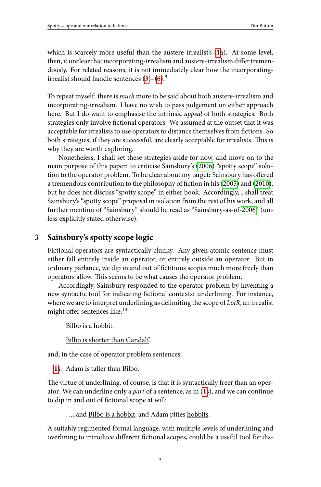which is scarcely more useful than the austere-irrealist's (1a). At some level, then, it unclear that incorporating-irrealism and austere-irrealism differ tremendously. For related reasons, it is not immediately cl[ear ho](#page-13-0)w the incorporatingirrealist should handle sentences  $(3)-(6)$ .<sup>9</sup>

To repeat myself: there is *much* more to be said about both au[stere-ir](#page-13-1)reali[sm and](#page-13-2) incorporating-irrealism. I have no wish to pass judgement on either approach here. But I do want to emphasise the intrinsic *appeal* of both strat[egies.](#page-13-0) Both strategies only involve fictional operators. We assumed at the outset that it was acceptable for irrealists to use operators to distance themselves from fictions. So both strategies, if they are successful, are clearly acceptable for irrealists. This is why they are worth exploring.

Nonetheless, I shall set these strategies aside for now, and move on to the main purpose of this paper: to criticise Sainsbury's (2006) "spotty scope" solution to the operator problem. To be clear about my target: Sainsbury has offered a tremendous contribution to the philosophy of fiction in his (2005) and (2010), but he does not discuss "spotty scope" in either book. Accordingly, I shall treat Sainsbury's "spotty scope" proposal in isolation from the rest of his work, and all further mention of "Sainsbury" should be read as "Sainsbury-as-of-2006" (unless explicitly stated otherwise).

# **3 Sainsbury's spotty scope logic**

Fictional operators are syntactically clunky. Any given atomic sentence must either fall entirely inside an operator, or entirely outside an operator. But in ordinary parlance, we dip in and out of fictitious scopes much more freely than o[per](#page-1-0)ators allow. This seems to be what causes the operator problem.

Accordingly, Sainsbury responded to the operator problem by inventing a new syntactic tool for indicating fictional contexts: underlining. For instance, where we are to interpret underlining as delimiting the [sc](#page-1-0)ope of *LotR*, an irrealist might offer sentences like:<sup>10</sup>

Bilbo is a hobbit.

Bilbo is shorter than Gandalf.

and, in the case of operator problem sentences:

**1s**. Adam is taller than Bilbo.

The virtue of underlining, of course, is that it is syntactically freer than an operator. We can underline only a *part* of a sentence, as in (1s), and we can continue to dip in and out of fictional scope at will:

…, and Bilbo is a hobbit, and Adam pities hobbits.

A suitably regimented formal language, with multiple levels of underlining and overlining to introduce different fictional scopes, could be a useful tool for dis-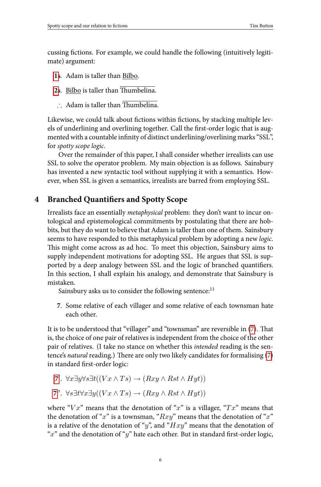Spotty scope and our relation to fictions Tim Button Tim Button Tim Button Tim Button Tim Button Tim Button Tim Button Tim Button Tim Button Tim Button Tim Button Tim Button Tim Button Tim Button Tim Button Tim Button Tim

cussing fictions. For example, we could handle the following (intuitively legitimate) argument:

- **1s**. Adam is taller than Bilbo.
- 2s. Bilbo is taller than Thumbelina.
- <span id="page-5-1"></span>∴ Adam is taller than  $\overline{\text{Thumbelina}}$ .

Likewise, we could talk about fictions within fictions, by stacking multiple levels of underlining and overlining together. Call the first-order logic that is augmented with a countable infinity of distinct underlining/overlining marks "SSL", for *spotty scope logic*.

Over the remainder of this paper, I shall consider whether irrealists can use SSL to solve the operator problem. My main objection is as follows. Sainsbury has invented a new syntactic tool without supplying it with a semantics. However, when SSL is given a semantics, irrealists are barred from employing SSL.

#### **4** Branched Quantifiers and Spotty Scope

<span id="page-5-0"></span>Irrealists face an essentially *metaphysical* problem: they don't want to incur ontological and epistemological commitments by postulating that there are hobbits, but they do want to believe that Adam is taller than one of them. Sainsbury seems to have responded to this metaphysical problem by adopting a n[ew](#page-5-0) *logic*. This might come across as ad hoc. To meet this objection, Sainsbury aims to supply independent motivations for adopting SSL. He argues that SSL is supported by a deep analogy between SSL and the logic of branched quantifie[rs.](#page-5-0) In this section, I shall explain his analogy, and demonstrate that Sainsbury is m[ist](#page-5-0)aken.

Sainsbury asks us to consider the following sentence:<sup>11</sup>

**[7](#page-5-0)**. Some relative of each villager and some relative of each townsman hate each other.

It is to be understood that "villager" and "townsman" are reversible in (7). That is, the choice of one pair of relatives is independent from the choice of the other pair of relatives. (I take no stance on whether this *intended* reading is the sentence's *natural* reading.) There are only two likely candidates for formalising (7) in standard first-order logic:

7'. 
$$
\forall x \exists y \forall s \exists t ((Vx \land Ts) \rightarrow (Rxy \land Rst \land Hyt))
$$

7". 
$$
\forall s \exists t \forall x \exists y ((Vx \land Ts) \rightarrow (Rxy \land Rst \land Hyt))
$$

where "*V x*" means that the denotation of "*x*" is a villager, "*T x*" means that the denotation of "*x*" is a townsman, "*Rxy*" means that the denotation of "*x*" is a relative of the denotation of "*y*", and "*Hxy*" means that the denotation of " $x$ " and the denotation of " $y$ " hate each other. But in standard first-order logic,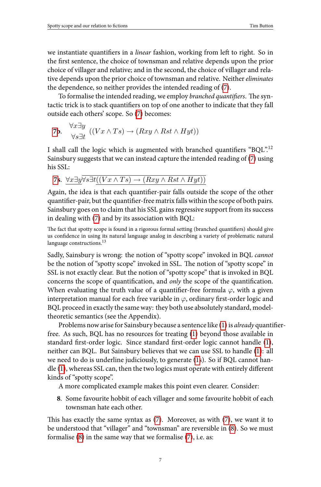Spotty scope and our relation to fictions Tim Button Tim Button Tim Button Tim Button Tim Button Spotty scope and our relation to  $\overline{\text{min}}$  Button Spotty scope and our relation to fictions

we instantiate quantifiers in a *linear* fashion, working from left to right. So in the first sentence, the choice of townsman and relative depends upon the prior choice of villager and relative; and in the second, the choice of villager [an](#page-5-0)d relative depends upon the prior choice of townsman and relative. Neither *eliminates* t[he](#page-5-0) dependence, so neither provides the intended reading of (7).

To formalise the intended reading, we employ *branched quantifiers*. The syntactic trick is to stack quantifiers on top of one another to indicate that they fall outside each others' scope. So (7) becomes:

**7b.** 
$$
\forall x \exists y \quad ((Vx \land Ts) \rightarrow (Rxy \land Rst \land Hyt))
$$

I shall call the logic which is augmented with branched quantifiers "BQL".<sup>12</sup> Sainsbury suggests that we can instead capture the intended reading of (7) using his SSL:

**7**. *∀x∃y∀s∃t*((*V x ∧ T s*) *→* (*Rxy ∧ Rst ∧ Hyt*))

Again, the idea is that each quantifier-pair falls outside the scope of the other quantifier-pair, but the quantifier-free matrix falls within the scope of both pairs. Sainsbury goes on to claim that his SSL gains regressive support from its success in dealing with (7) and by its association with BQL:

The fact that spotty scope is found in a rigorous formal setting (branched quantifiers) should give us confidence in us[ing](#page-1-0) its natural language analog in describing a variety [of](#page-1-0) problematic natural language constructions.<sup>13</sup>

Sadly, Sainsbury is wrong: the notion of "spotty scope" invoked in BQL *[canno](#page-1-0)t* be th[e n](#page-1-0)otion of "spotty scope" invoked in SSL. The notion of "spotty scope" in SSL [is](#page-1-0) not exactly clear. But the notion of "spotty scope" that is invoked in BQL concerns the scope of quantification, and *only* the scope of the quantification. When evaluating the truth value of a quantifier-free formula  $\varphi$ , with a given interpretation manual for each free variable in  $\varphi$ , ordinary first-order logic and BQL proceed in exactly the same way: they both use absolutely standard, modeltheoretic semantics (see the Appendix).

<span id="page-6-0"></span>Problems now arise for Sainsbury [be](#page-5-0)cause a sentence like ([1\) i](#page-5-0)s *already* quantifierfree. As such, BQL has no resources for treating (1) beyond th[os](#page-6-0)e available in standard first-[or](#page-5-0)der logic. Since standard first-order logic cannot handle (1), neither can BQL. But Sainsbury believes that we can use SSL to handle (1): all we need to do is underline judiciously, to generate (1s). So if BQL cannot handle (1), whereas SSL can, then the two logics must operate with entirely different kinds of "spotty scope".

A more complicated example makes this point even clearer. Consider:

**8**. Some favourite hobbit of each villager and some favourite hobbit of each townsman hate each other.

This has exactly the same syntax as  $(7)$ . Moreover, as with  $(7)$ , we want it to be understood that "villager" and "townsman" are reversible in (8). So we must formalise (8) in the same way that we formalise (7), i.e. as:

7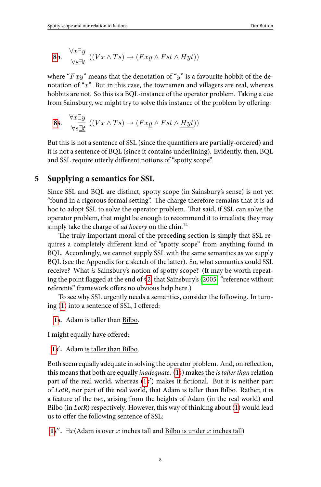${\hbox{\rm Spotty}}$  ${\hbox{\rm Spotty}}$  ${\hbox{\rm Spotty}}$  scope and our relation to fictions  ${\hbox{\bf Time}\atop \hbox{}}$ 

$$
\frac{1 \text{ m} \text{ b} \text{u} \text{u} \text{u}}{}
$$

**8b.** 
$$
\bigvee_{\forall s \exists t}^{x \exists y} ((Vx \land Ts) \rightarrow (Fxy \land Fst \land Hyt))
$$

where "*F xy*" means that the denotation of "*y*" is a favourite hobbit of the denotation of "*x*". But in this case, the townsmen and villagers are real, whereas hobbits are not. So this is a BQL-instance of the operator problem. Taking a cue from Sainsbury, we might try to solve this instance of the problem by offering:

8s. 
$$
\forall x \exists y \quad ((Vx \land Ts) \to (Fx\underline{y} \land Fst \land \underline{Hyt}))
$$

But this is not a sentence of SSL (since the quantifiers are partially-ordered) and it is not a sentence of BQL (since it contains underlining). Evidently, then, BQL and SSL require utterly different notions of "spotty scope".

# **5 Supplying a semantics for SSL**

Since SSL and BQL are distinct,s[po](#page-2-1)tty scope (in Sai[nsbur](#page-13-1)y's sense) is not yet "found in a rigorous formal setting". The charge therefore remains that it is ad hoc [to](#page-1-0) adopt SSL to solve the operator problem. That said, if SSL can solve the operator problem, that might be enough to recommend it to irrealists; they may si[mp](#page-1-0)ly take the charge of *ad hocery* on the chin.<sup>14</sup>

The truly important moral of the preceding section is simply that SSL requires a completely different kind of "spotty scope" from anything found in [BQ](#page-1-0)L. Accordingly, we cannot supply SSL with the same semantics as we supply BQL (see the Appendix for a sketch of the latter). So, what semantics could SSL receive? What *is* Sainsbury's notion of spotty scope? (It may be worth repeating the point flagged at the end of §2, that Sai[ns](#page-1-0)bury's (2005) "reference without referents" framework offers no o[bv](#page-1-0)ious help here.)

To see why SSL urgently needs a semantics, consider the following. In turning (1) into a sentence of SSL, I offered:

**1s.** Adam is taller than Bilbo.

[I m](#page-1-0)ight equally have offered:

**1s** *′* **.** Adam is taller than Bilbo.

Both seem equally adequate in solving the operator problem. And, on reflection, this means that both are equally *inadequate*. (1s) makes the *is taller than* relation part of the real world, whereas (1s') makes it fictional. But it is neither part of *LotR*, nor part of the real world, that Adam is taller than Bilbo. Rather, it is a feature of the *two*, arising from the heights of Adam (in the real world) and Bilbo (in *LotR*) respectively. However, this way of thinking about (1) would lead us to offer the following sentence of SSL:

**1s''**.  $\exists x$ (Adam is over *x* inches tall and <u>Bilbo is under *x* inches tall</u>)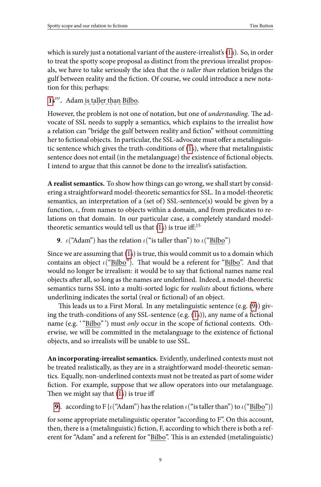which is surely just a notational variant of the aust[er](#page-1-0)e-irrealist's (1a). So, in order to treat the spotty scope proposal as distinct from the previous irrealist proposals, we have to take seriously the idea that the *is taller than* relation bridges the gulf between reality and the fiction. Of course, we could introduce a new notation for this; perhaps:

#### **1s** *′′′* **.** Adam is taller than Bilbo.

<span id="page-8-0"></span>However, the problem is not one of notation, but one of *understanding*. The advocate of SSL needs to supply a semantics, which explains to the irrealist how a relation can "bridge the gulf betwee[n r](#page-1-0)eality and ĕction" without committing her to fictional objects. In particular, the SSL-advocate must offer a metalinguistic sentence which gives the truth-conditions of (1s), where that metalinguistic sentence does not entail (in [th](#page-1-0)e metalanguage) the existence of fictional objects. I intend to argue that this cannot be done to the irrealist's satisfaction.

**A realist semantics.** To show how things can go wrong, we shall start by considering a straightforward model-theoretic semantics for SSL. In a model-theoretic semantics, an interpretation of a (set of) SSL-sentence(s) would be given by a function, *ι*, from names to objects within a domain, and from predicat[es](#page-8-0) to relations on that domain. In our particular case, a [co](#page-1-0)mpletely standard modeltheoretic semantics would tell us that  $(1s)$  is true iff:<sup>15</sup>

**9**. *ι*("Adam") has the relation *ι*("is taller than") to *ι*("Bilbo")

Since we are assuming that (1s) is true, this would commit us to a domain which contains an object *ι*("Bilbo"). That would be a referent for "Bilbo". And that would no longer be irrealism: it would be to say that fictional names name real objects after all, so long as the names are underlined. Indeed, a model-theoretic semantics turns SSL into a multi-sorted logic for *realists* about fictions, where underlining indicates th[e s](#page-1-0)ortal (real or fictional) of an object.

This leads us to a First Moral. In any metalinguistic sentence (e.g. (9)) givin[g t](#page-8-0)he truth-conditions of any SSL-sentence (e.g.  $(1s)$ ), any name of a fictional name (e.g. "Bilbo"') must *only* occur in the scope of fictional contexts. Otherwise, we will be committed in the metalanguage to the existence of fictional objects, and so irrealists will be unable to use SSL.

**An incorporating-irrealist semantics.** Evidently, underlined contexts must not be treated realistically, as they are in a straightforward model-theoretic semantics. Equally, non-underlined contexts must not be treated as part of some wider fiction. For example, suppose that we allow operators into our metalanguage. Then we might say that  $(1s)$  is true iff

**9i**. according to F {*ι*("Adam") has the relation *ι*("is taller than") to *ι*("Bilbo")}

for some appropriate metalinguistic operator "according to F". On this account, then, there is a (metalinguistic) fiction, F, according to which there is both a referent for "Adam" and a referent for "Bilbo". This is an extended (metalinguistic)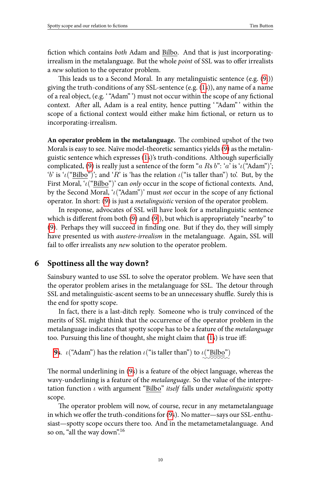Spotty scope and our relation to fictions Tim Button Tim Button Tim Button Tim Button Tim Button Tim Button Tim Button Tim Button Tim Button Tim Button Tim Button Tim Button Tim Button Tim Button Tim Button Tim Button Tim

fiction which contains *both* Adam and Bilbo. And that is j[ust](#page-8-0) incorporatingirrealism in the metalanguage. B[ut](#page-1-0) the whole *point* of SSL was to offer irrealists a *new* solutio[n t](#page-8-0)o the operator problem.

This leads us to a Second Moral. In any metalinguistic sentence  $(e.g. (9i))$ giving the truth-conditions of any SSL-sentence (e.g. (1s)), any name of a name of a real object, (e.g. '"Adam" ') must not occur within the scope of any fictional context. [A](#page-8-0)fter all, Adam is a real entity, hence putting "Adam" ' within the scope of a fictional context would either make him fictional, or return us to incorporating-irrealism.

[An](#page-8-0) operator problem in the metalanguage. The combined upshot of the two Morals is easy to see. Naïve model-theoretic semantics yields (9) as the metalinguistic sentence which expresses (1s)'s truth-conditions. Although superficially complicated, (9) is really just a sentence of the form "*a R*s *b*": '*a*' is '*ι*("Adam")'; '*b*' is '*ι*("Bilbo")'; and '*R*' is 'has the relation *ι*("is taller than") to'. But, by the First Moral, '*ι*("Bilbo")' can *only* occur in the scope of fictional contexts. And, by the Second Moral, '*ι*("Adam")' must *not* occur in the scope of any fictional operator. In short: (9) is just a *metalinguistic* version of the operator problem.

In response, advocates of SSL will have look for a metalinguistic sentence which is different from both (9) and (9i), but which is appropriately "nearby" to (9). Perhaps they will succeed in ĕnding one. But if they do, they will simply have presented us with *austere-irrealism* in the metalanguage. Again, SSL will fail to offer irrealists any *new* solution to the operator pr[ob](#page-1-0)lem.

#### **6 S[po](#page-8-0)ttiness all the way down?**

Sainsbury wanted to use SS[L](#page-8-0) to solve the operator problem. We have seen that the operator problem arises in the metalanguage for SSL. The detour through SSL and metalinguistic-ascent seems to be an unnecessary shuffle. Surely this is the end for spotty scope.

In fact, there is a last-ditch reply. Someone who is truly convinced of the merits of SSL might think that the occur[ren](#page-8-0)ce of the operator problem in the metalanguage indicates that spotty scope has to be a feature of the *metalanguage* too. Pursuing this line of thought, she might claim that (1s) is true iff:

**9s**. *ι*("Adam") has the relation *ι*("is taller than") to *ι*("Bilbo") *✿✿✿✿✿✿✿✿*

The normal underlining in (9s) is a feature of the object language, whereas the wavy-underlining is a feature of the *metalanguage*. So the value of the interpretation function *ι* with argument "Bilbo" *itself* falls under *metalinguistic* spotty scope.

The operator problem will now, of course, recur in any metametalanguage in which we offer the truth-conditions for (9s). No matter—says our SSL-enthusiast—spotty scope occurs there too. And in the metametametalanguage. And so on, "all the way down".<sup>16</sup>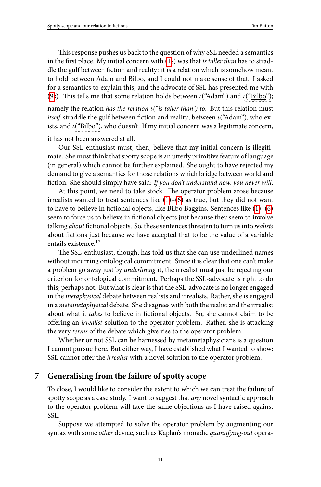Spotty scope and our relation to fictions Tim Button Tim Button Tim Button Tim Button Tim Button Spotty scope and our relation to  $\overline{\text{min}}$  Button Spotty scope and our relation to fictions

This response pushes us back to the question of why SSL needed a semantics in the first place. My initial concern with (1s) was that *is taller than* has to straddle the gulf between fiction and reality: it is a relation which is somehow meant to hold between Adam and Bilbo, and I could not make sense of that. I asked for a semantics to explain this, and the advocate of SSL has presented me with (9s). This tells me that some relation holds between *ι*("Adam") and *ι*("Bilbo"); *✿✿✿✿✿✿✿✿*

namely the relation *has the relation ι("is [ta](#page-1-0)lle[r t](#page-3-0)han") to*. But this relation must *itself* straddle the gulf between fiction and reality; between *ι*("Adam"), [who](#page-1-0) [ex](#page-3-0)ists, and ι("<u>Bilbo</u>"), who doesn't. If my initial concern was a legitimate concern, *✿✿✿✿✿✿✿✿*

it has not been answered at all.

Our SSL-enthusiast must, then, believe that my initial concern is illegitimate. She must think that spotty scope is an utterly primitive feature of language (in general) which cannot be further explained. She ought to have rejected my demand to give a semantics for those relations which bridge between world and fiction. She should simply have said: *If you don't understand now, you never will*.

At this point, we need to take stock. The operator problem arose because irrealists wanted to treat sentences like  $(1)$ – $(6)$  as true, but they did not want to have to believe in fictional objects, like Bilbo Baggins. Sentences like  $(1)$ – $(6)$ seem to force us to believe in fictional objects just because they seem to involve talking *about* fictional objects. So, these sentences threaten to turn us into *realists* about fictions just because we have accepted that to be the value of a variable entails existence.<sup>17</sup>

The SSL-enthusiast, though, has told us that she can use underlined names without incurring ontological commitment. Since it is clear that one can't make a problem go away just by *underlining* it, the irrealist must just be rejecting our criterion for ontological commitment. Perhaps the SSL-advocate is right to do this; perhaps not. But what is clear is that the SSL-advocate is no longer engaged in the *metaphysical* debate between realists and irrealists. Rather, she is engaged in a *metametaphysical* debate. She disagrees with both the realist and the irrealist about what it *takes* to believe in fictional objects. So, she cannot claim to be offering an *irrealist* solution to the operator problem. Rather, she is attacking the very *terms* of the debate which give rise to the operator problem.

Whether or not SSL can be harnessed by metametaphysicians is a question I cannot pursue here. But either way, I have established what I wanted to show: SSL cannot offer the *irrealist* with a novel solution to the operator problem.

# **7 Generalising from the failure of spotty scope**

To close, I would like to consider the extent to which we can treat the failure of spotty scope as a case study. I want to suggest that *any* novel syntactic approach to the operator problem will face the same objections as I have raised against SSL.

Suppose we attempted to solve the operator problem by augmenting our syntax with some *other* device, such as Kaplan's monadic *quantifying-out* opera-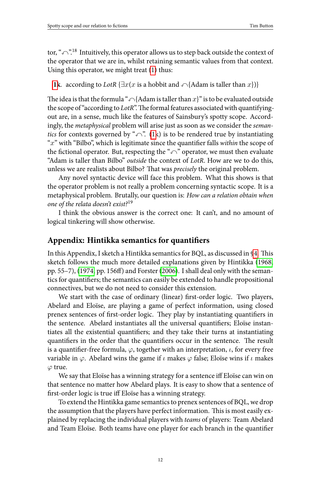tor, " $\curvearrowleft$ ".<sup>18</sup> Intuitively, this operator allows us to step back outside the context of the operator that we are in, whilst retaining semantic values from that context. Using this operator, we might treat (1) thus:

**1k**. according to *LotR* { $∃x(x$  is a hobbit and  $∩$ {Adam is taller than  $x$ }}}

The idea is that the formula " $\bigcap$ {Adam is taller than  $x$ }" is to be evaluated outside the scope of "according to *LotR*". The formal features associated with quantifyingout are, in a sense, much like the features of Sainsbury's spotty scope. Accordingly, the *metaphysical* problem will arise just as soon as we consider the *semantics* for contexts governed by " $\curvearrowleft$ ". (1k) is to be rendered true by instantiating "x" with "Bilbo", which is legitimate since the quantifier falls *within* the scope of the fictional operator. But, respecting the " $\curvearrowleft$ " operator, we must then evaluate "Adam is taller than Bilbo" *outside* the context of *LotR*. How are we to [do](#page-5-1) this, unless we are realists about Bilbo? That was *precisely* the original proble[m.](#page-13-3)

Any n[ovel sy](#page-13-4)ntactic device will fac[e this p](#page-13-5)roblem. What this shows is that the operator problem is not really a problem concerning syntactic scope. It is a metaphysical problem. Brutally, our question is: *How can a relation obtain when one of the relata doesn't exist?*<sup>19</sup>

I think the obvious answer is the correct one: It can't, and no amount of logical tinkering will show otherwise.

# Appendix: Hintikka semantics for quantifiers

In this Appendix, I sketch a Hintikka semantics for BQL, as discussed in §4. This sketch follows the much more detailed explanations given by Hintikka (1968, pp. 55–7), (1974, pp. 156ff) and Forster (2006). I shall deal only with the semantics for quantifiers; the semantics can easily be extended to handle propositional connectives, but we do not need to consider this extension.

We start with the case of ordinary (linear) first-order logic. Two players, Abelard and Eloïse, are playing a game of perfect information, using closed prenex sentences of first-order logic. They play by instantiating quantifiers in the sentence. Abelard instantiates all the universal quantifiers; Eloïse instantiates all the existential quantifiers; and they take their turns at instantiating quantifiers in the order that the quantifiers occur in the sentence. The result is a quantifier-free formula,  $\varphi$ , together with an interpretation,  $\iota$ , for every free variable in *φ*. Abelard wins the game if *ι* makes *φ* false; Eloïse wins if *ι* makes *φ* true.

We say that Eloïse has a winning strategy for a sentence iff Eloïse can win on that sentence no matter how Abelard plays. It is easy to show that a sentence of first-order logic is true iff Eloïse has a winning strategy.

To extend the Hintikka game semantics to prenex sentences of BQL, we drop the assumption that the players have perfect information. This is most easily explained by replacing the individual players with *teams* of players: Team Abelard and Team Eloïse. Both teams have one player for each branch in the quantifier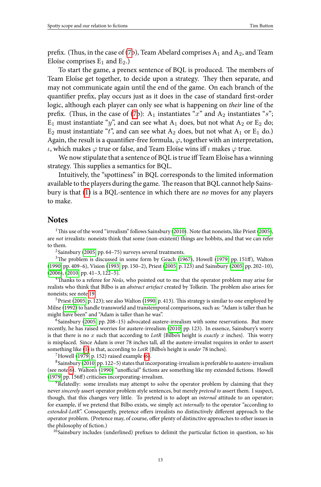prefix. (Thus, in the case of (7b), Team Abelard comprises  $A_1$  and  $A_2$ , and Team Eloïse comprises  $E_1$  and  $E_2$ .)

To start the game, a prenex sentence of BQL is produced. The members of Team Eloïse get together, to decide upon a strategy. They then separate, and may not communicate again until the end of the game. On each branch of the quantifier prefix, play occurs just as it does in the case of standard first-order logic, although each player can only see what is happening on *their* line of the prefix. (Thus, in the case of (7b):  $A_1$  instantiates "x" and  $A_2$  instantiates "s";  $E_1$  must instantiate "y", and can see what  $A_1$  does, but not what  $A_2$  or  $E_2$  do;  $E_2$  must instantiate " $t$ ", and can see what  $A_2$  does, but not what  $A_1$  or  $E_1$  do.) Again, the result is a quantifier-free formula,  $\varphi$ , together with an interpret[ation](#page-13-6), *ι*, which makes *φ* true or false, and Team Eloïse wins iff *ι* makes *φ* true.

<span id="page-12-0"></span>We now [stipu](#page-13-1)late that a sentence of BQL is true iff Team Eloïse has a winning strategy. This supplies a semantics for BQL.

[In](#page-13-7)tuitively, the "s[potti](#page-13-8)ness" in BQL c[orres](#page-13-6)ponds to the limit[ed in](#page-13-1)formation [availa](#page-13-0)[ble to](#page-13-2) the players during the game. The reason that BQL cannot help Sainsbury is that (1) is a BQL-sentence in which there are *no* moves for any players to make.

### **Not[es](#page-13-9)**

<sup>1</sup>This use of [the wo](#page-13-1)rd "irrealism" follows Sainsbury (2010). Note that noneists, like Priest (2005), are *not* irrealists: noneists think that some (non-exis[tent\) t](#page-13-2)hings are hobbits, and that we can refer to them.

<sup>2</sup> Sainsbury (2005, pp. 64-75) surveys several treatments.

 $3$ The proble[m](#page-1-0) is discussed in some form by Geach (1967), Howell (1979, pp. 151ff), Walton (1990, pp. 40[9–6\),](#page-13-10) Vision (1993, pp. 150–2[\), P](#page-3-0)riest (2005, p. 123) and Sainsbury (2005, pp. 202–10), (2006), (2010, [pp. 41–](#page-13-2)3, 122–5).

<sup>4</sup>Tha[nks](#page-12-0) to a refer[ee for](#page-13-7) *Noûs*, who pointed out to me that the operator problem may arise for [realists](#page-13-10) who think that Bilbo is an *abstract artefact* created by Tolkein. The problem also arises for noneists; see note 19.

<sup>5</sup>Priest (2005, p. 123); see also Walton (1990, p. 413). This strategy is similar to one employed by Milne (1992) to handle transworld and transtemporal comparisons, such as: "Adam is taller than he might have been" and "Adam is taller than he was".

6 Sainsbury (2005, pp. 208–15) advocated austere-irrealism with some reservations. But more recently, he has raised worries for austere-irrealism (2010, pp. 123). In essence, Sainsbury's worry is that there is no *x* such that according to *LotR* {Bilbo's height is *exactly x* inches}. is worry is misplaced. Since Adam is over 78 inches tall, all the austere-irrealist requires in order to assert something like (1) is that, according to *LotR* {Bilbo's height is *under* 78 inches}.

 $7$ Howell (1979, p. 152) raised example (6).

 $8$ Sainsbury (2010, pp. 122-5) states that incorporating-irrealism is preferable to austere-irrealism (see note 6). Walton's (1990) "unofficial" fictions are something like my extended fictions. Howell (1979, pp. 156ff) criticises incorporating-irrealism.

<sup>9</sup>Relatedly: some irrealists may attempt to solve the operator problem by claiming that they never *sincerely* assert operator problem style sentences, but merely *pretend to* assert them. I suspect, though, that this changes very little. To pretend is to adopt an *internal* attitude to an operator; for example, if we pretend that Bilbo exists, we simply act *internally* to the operator "according to *extended-LotR*". Consequently, pretence offers irrealists no distinctively different approach to the operator problem. (Pretence may, of course, offer plenty of distinctive approaches to other issues in the philosophy of fiction.)

 $10$ Sainsbury includes (underlined) prefixes to delimit the particular fiction in question, so his